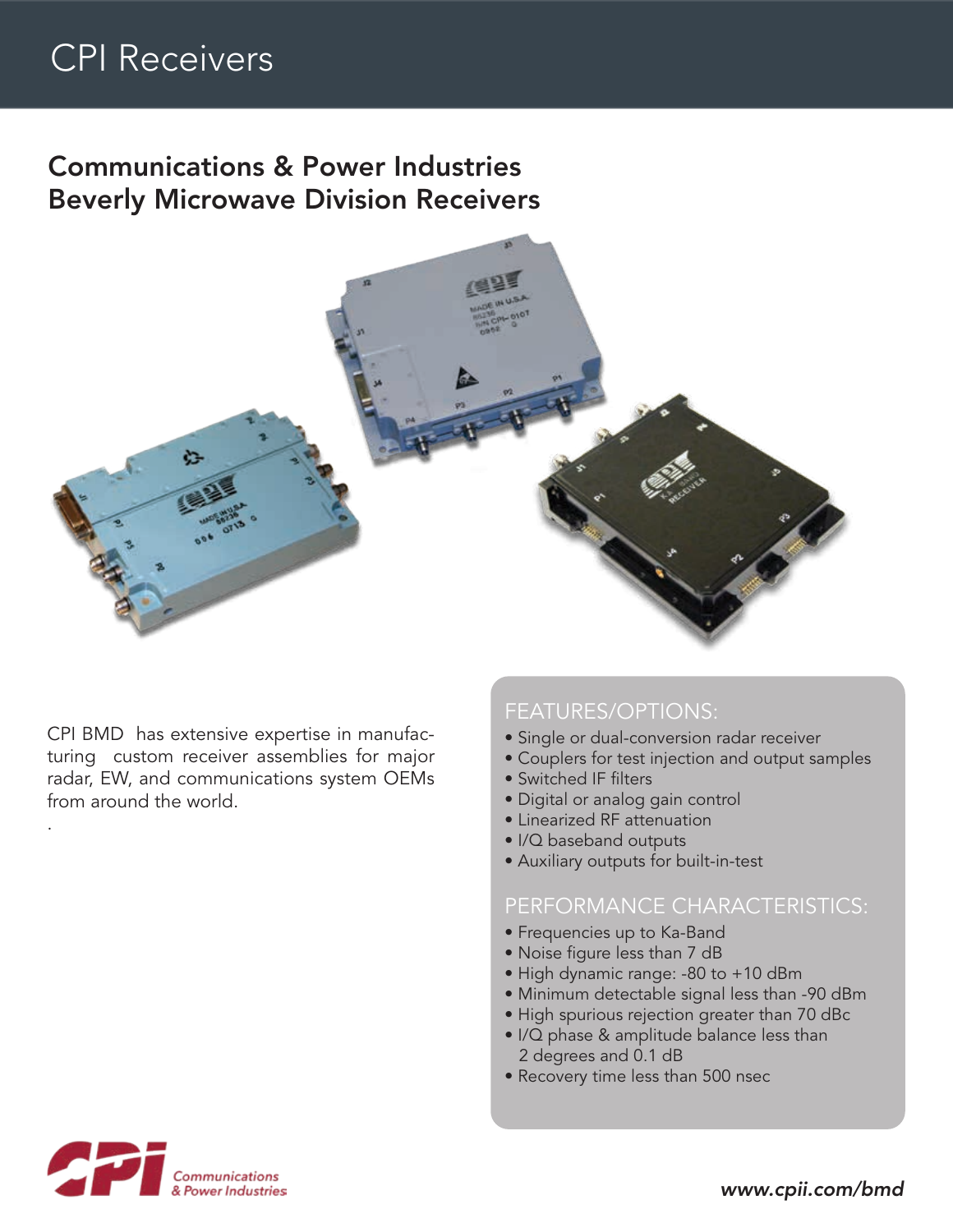## CPI Receivers

## Communications & Power Industries Beverly Microwave Division Receivers



CPI BMD has extensive expertise in manufacturing custom receiver assemblies for major radar, EW, and communications system OEMs from around the world.

#### FEATURES/OPTIONS:

- Single or dual-conversion radar receiver
- Couplers for test injection and output samples
- Switched IF filters
- Digital or analog gain control
- Linearized RF attenuation
- I/Q baseband outputs
- Auxiliary outputs for built-in-test

#### PERFORMANCE CHARACTERISTICS:

- Frequencies up to Ka-Band
- Noise figure less than 7 dB
- High dynamic range: -80 to +10 dBm
- Minimum detectable signal less than -90 dBm
- High spurious rejection greater than 70 dBc
- I/Q phase & amplitude balance less than 2 degrees and 0.1 dB
- Recovery time less than 500 nsec



.

*www.cpii.com/bmd*